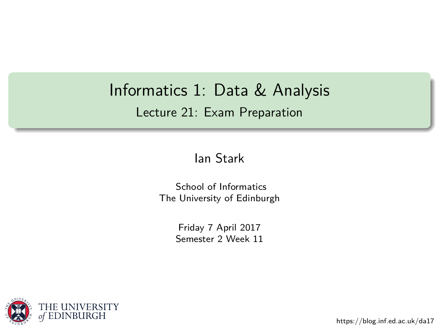# <span id="page-0-0"></span>Informatics 1: Data & Analysis Lecture 21: Exam Preparation

#### [Ian Stark](http://homepages.ed.ac.uk/stark)

[School of Informatics](http://www.inf.ed.ac.uk) [The University of Edinburgh](http://www.ed.ac.uk)

> Friday 7 April 2017 Semester 2 Week 11



<https://blog.inf.ed.ac.uk/da17>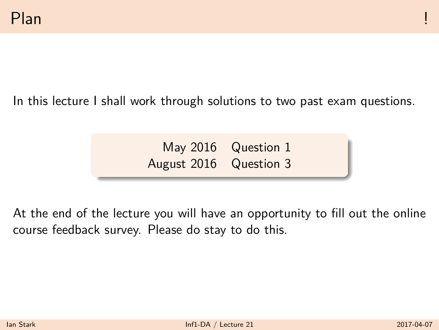In this lecture I shall work through solutions to two past exam questions.

May 2016 Question 1 August 2016 Question 3

At the end of the lecture you will have an opportunity to fill out the online course feedback survey. Please do stay to do this.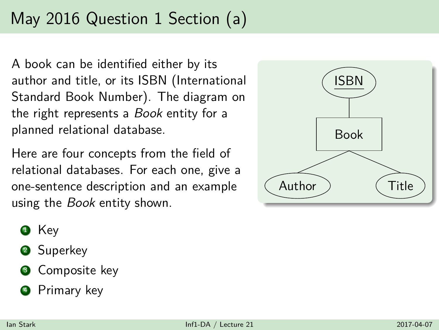A book can be identified either by its author and title, or its ISBN (International Standard Book Number). The diagram on the right represents a *Book* entity for a planned relational database.

Here are four concepts from the field of relational databases. For each one, give a one-sentence description and an example using the *Book* entity shown.



- **1** Key
- **2** Superkey
- **3** Composite key
- <sup>4</sup> Primary key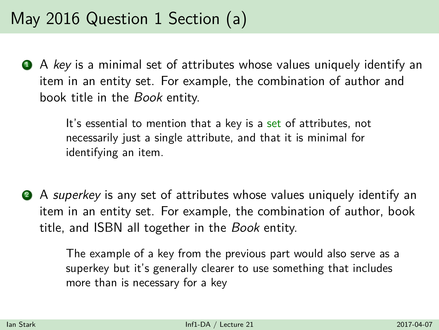$\bullet$  A key is a minimal set of attributes whose values uniquely identify an item in an entity set. For example, the combination of author and book title in the Book entity.

> It's essential to mention that a key is a set of attributes, not necessarily just a single attribute, and that it is minimal for identifying an item.

2 A superkey is any set of attributes whose values uniquely identify an item in an entity set. For example, the combination of author, book title, and ISBN all together in the Book entity.

> The example of a key from the previous part would also serve as a superkey but it's generally clearer to use something that includes more than is necessary for a key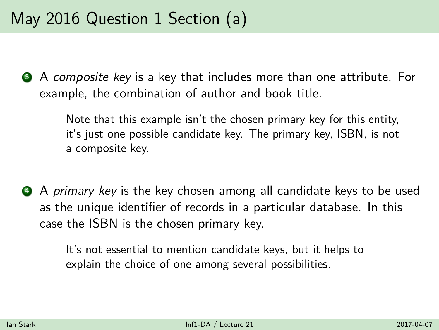**3** A composite key is a key that includes more than one attribute. For example, the combination of author and book title.

> Note that this example isn't the chosen primary key for this entity, it's just one possible candidate key. The primary key, ISBN, is not a composite key.

**4** A primary key is the key chosen among all candidate keys to be used as the unique identifier of records in a particular database. In this case the ISBN is the chosen primary key.

> It's not essential to mention candidate keys, but it helps to explain the choice of one among several possibilities.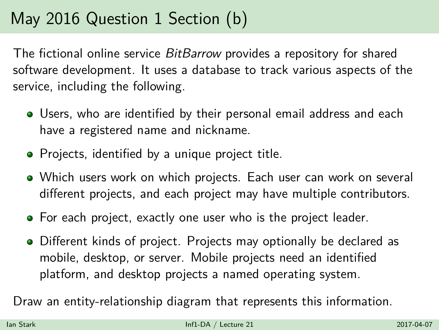The fictional online service *BitBarrow* provides a repository for shared software development. It uses a database to track various aspects of the service, including the following.

- Users, who are identified by their personal email address and each have a registered name and nickname.
- Projects, identified by a unique project title.
- Which users work on which projects. Each user can work on several different projects, and each project may have multiple contributors.
- For each project, exactly one user who is the project leader.
- Different kinds of project. Projects may optionally be declared as mobile, desktop, or server. Mobile projects need an identified platform, and desktop projects a named operating system.

Draw an entity-relationship diagram that represents this information.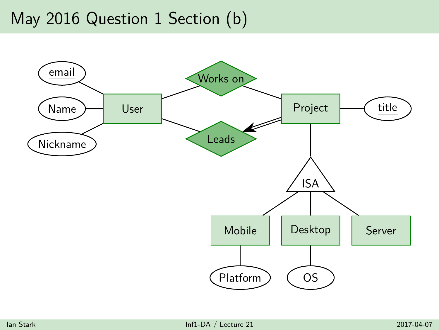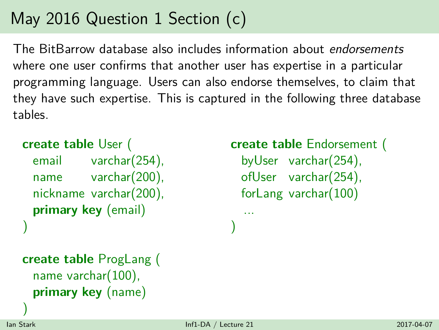The BitBarrow database also includes information about endorsements where one user confirms that another user has expertise in a particular programming language. Users can also endorse themselves, to claim that they have such expertise. This is captured in the following three database tables.

```
create table User (
 email varchar(254),
 name varchar(200),
 nickname varchar(200),
 primary key (email)
)
```

```
create table Endorsement (
```

```
byUser varchar(254),
ofUser varchar(254),
forLang varchar(100)
```

```
create table ProgLang (
 name varchar(100),
 primary key (name)
```
... )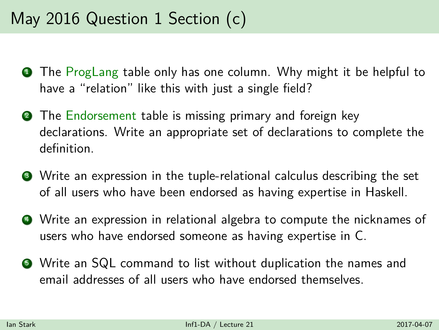- **1** The ProgLang table only has one column. Why might it be helpful to have a "relation" like this with just a single field?
- **2** The Endorsement table is missing primary and foreign key declarations. Write an appropriate set of declarations to complete the definition.
- <sup>3</sup> Write an expression in the tuple-relational calculus describing the set of all users who have been endorsed as having expertise in Haskell.
- <sup>4</sup> Write an expression in relational algebra to compute the nicknames of users who have endorsed someone as having expertise in C.
- <sup>5</sup> Write an SQL command to list without duplication the names and email addresses of all users who have endorsed themselves.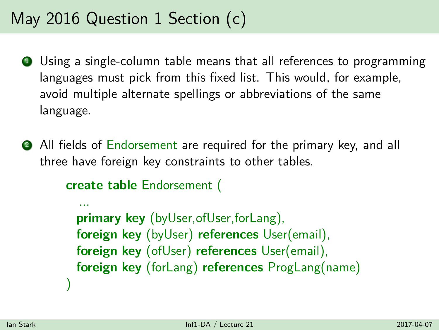- **1** Using a single-column table means that all references to programming languages must pick from this fixed list. This would, for example, avoid multiple alternate spellings or abbreviations of the same language.
- **2** All fields of Endorsement are required for the primary key, and all three have foreign key constraints to other tables.

```
create table Endorsement (
```
...

)

**primary key** (byUser,ofUser,forLang), **foreign key** (byUser) **references** User(email), **foreign key** (ofUser) **references** User(email), **foreign key** (forLang) **references** ProgLang(name)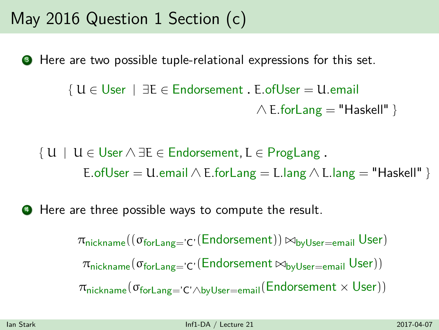**3** Here are two possible tuple-relational expressions for this set.

```
{ U ∈ User | ∃E ∈ Endorsement . E.ofUser = U.email
                                  \land E.forLang = "Haskell" }
```
 $\{ U \mid U \in \mathsf{User} \land \exists E \in \mathsf{Endorsement}, L \in \mathsf{ProgLang}.$ E.ofUser = U.email  $\land$  E.forLang = L.lang  $\land$  L.lang = "Haskell" }

 $\bullet$  Here are three possible ways to compute the result.

 $\pi_{\text{nickname}}((\sigma_{\text{forLang}='}c'(\text{Endorsement})) \Join_{\text{byUser}=email} \text{User})$  $\pi_{\text{nickname}}(\sigma_{\text{forLang}='}c'(\text{Endorsement} \bowtie_{\text{byUser}=email} \text{User}))$  $\pi_{\text{nickname}}(\sigma_{\text{forLang}=C'\wedge\text{byUser}=email}(\text{Endorsement}\times\text{User}))$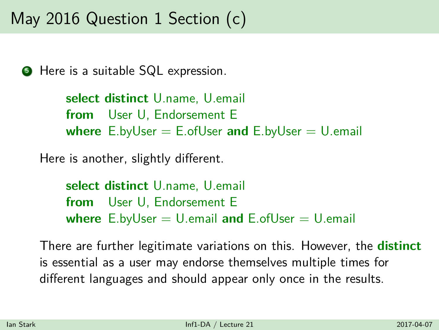**5** Here is a suitable SQL expression.

**select distinct** U.name, U.email **from** User U, Endorsement E **where** E.byUser = E.ofUser **and** E.byUser = U.email

Here is another, slightly different.

**select distinct** U.name, U.email **from** User U, Endorsement E **where** E.byUser = U.email **and** E.ofUser = U.email

There are further legitimate variations on this. However, the **distinct** is essential as a user may endorse themselves multiple times for different languages and should appear only once in the results.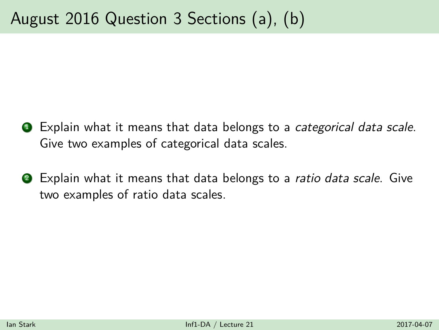- **1** Explain what it means that data belongs to a *categorical data scale*. Give two examples of categorical data scales.
- **2** Explain what it means that data belongs to a ratio data scale. Give two examples of ratio data scales.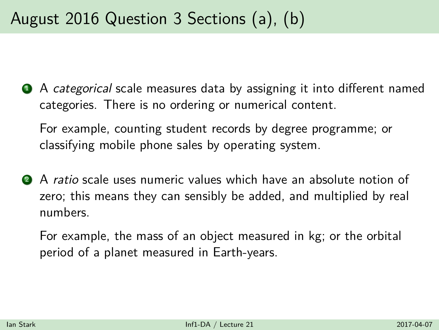**4** A categorical scale measures data by assigning it into different named categories. There is no ordering or numerical content.

For example, counting student records by degree programme; or classifying mobile phone sales by operating system.

2 A ratio scale uses numeric values which have an absolute notion of zero; this means they can sensibly be added, and multiplied by real numbers.

For example, the mass of an object measured in kg; or the orbital period of a planet measured in Earth-years.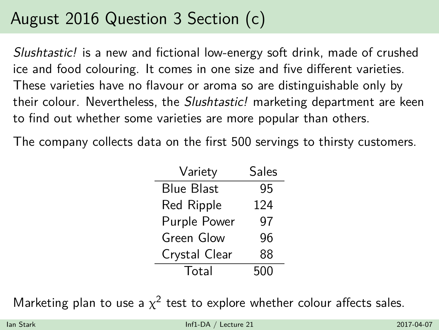Slushtastic! is a new and fictional low-energy soft drink, made of crushed ice and food colouring. It comes in one size and five different varieties. These varieties have no flavour or aroma so are distinguishable only by their colour. Nevertheless, the *Slushtastic!* marketing department are keen to find out whether some varieties are more popular than others.

The company collects data on the first 500 servings to thirsty customers.

| Variety           | Sales |  |
|-------------------|-------|--|
| Blue Blast        | 95    |  |
| <b>Red Ripple</b> | 124   |  |
| Purple Power      | 97    |  |
| Green Glow        | 96    |  |
| Crystal Clear     | 88    |  |
| Total             | 500   |  |

Marketing plan to use a  $\chi^2$  test to explore whether colour affects sales.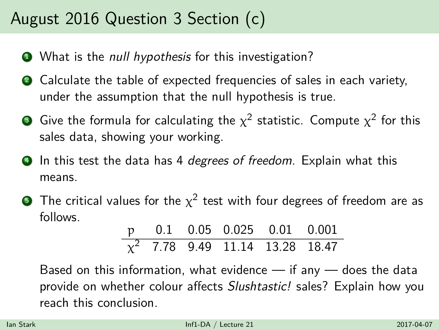- What is the *null hypothesis* for this investigation?
- Calculate the table of expected frequencies of sales in each variety, under the assumption that the null hypothesis is true.
- $\bullet$  Give the formula for calculating the  $\chi^2$  statistic. Compute  $\chi^2$  for this sales data, showing your working.
- **4** In this test the data has 4 degrees of freedom. Explain what this means.
- $\bullet$  The critical values for the  $\chi^2$  test with four degrees of freedom are as follows.

|  | p 0.1 0.05 0.025 0.01 0.001          |  |
|--|--------------------------------------|--|
|  | $\chi^2$ 7.78 9.49 11.14 13.28 18.47 |  |

Based on this information, what evidence  $-$  if any  $-$  does the data provide on whether colour affects Slushtastic! sales? Explain how you reach this conclusion.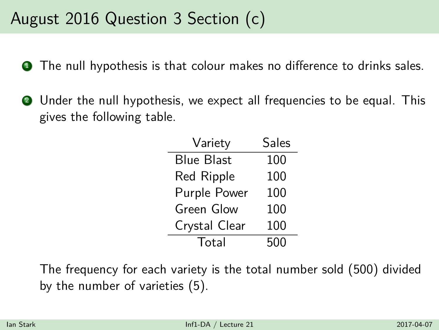- **1** The null hypothesis is that colour makes no difference to drinks sales.
- <sup>2</sup> Under the null hypothesis, we expect all frequencies to be equal. This gives the following table.

| Variety       | Sales |  |
|---------------|-------|--|
| Blue Blast    | 100   |  |
| Red Ripple    | 100   |  |
| Purple Power  | 100   |  |
| Green Glow    | 100   |  |
| Crystal Clear | 100   |  |
| Total         | 500   |  |

The frequency for each variety is the total number sold (500) divided by the number of varieties (5).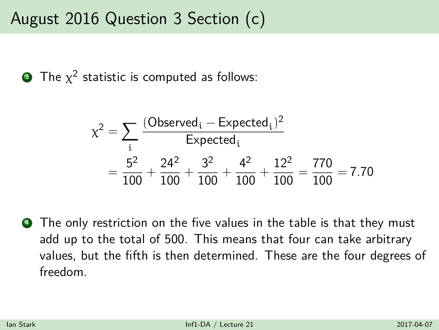$\bullet$  The  $\chi^2$  statistic is computed as follows:

$$
\chi^{2} = \sum_{i} \frac{(Observed_{i} - Expected_{i})^{2}}{Expected_{i}}
$$

$$
= \frac{5^{2}}{100} + \frac{24^{2}}{100} + \frac{3^{2}}{100} + \frac{4^{2}}{100} + \frac{12^{2}}{100} = \frac{770}{100} = 7.70
$$

**4** The only restriction on the five values in the table is that they must add up to the total of 500. This means that four can take arbitrary values, but the fifth is then determined. These are the four degrees of freedom.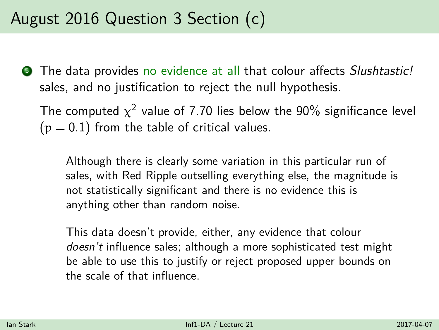**•** The data provides no evidence at all that colour affects *Slushtastic!* sales, and no justification to reject the null hypothesis.

The computed  $\chi^2$  value of 7.70 lies below the 90% significance level  $(p = 0.1)$  from the table of critical values.

Although there is clearly some variation in this particular run of sales, with Red Ripple outselling everything else, the magnitude is not statistically significant and there is no evidence this is anything other than random noise.

This data doesn't provide, either, any evidence that colour doesn't influence sales; although a more sophisticated test might be able to use this to justify or reject proposed upper bounds on the scale of that influence.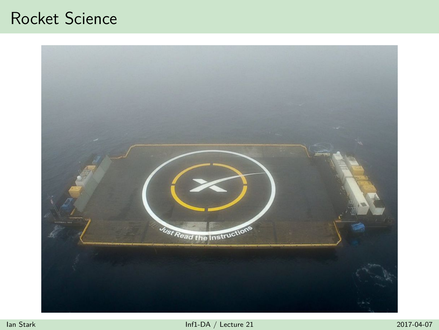### Rocket Science

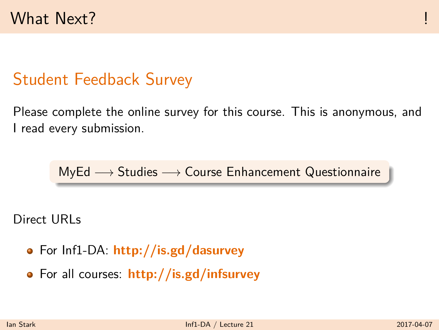### Student Feedback Survey

Please complete the online survey for this course. This is anonymous, and I read every submission.

$$
\text{MyEd} \longrightarrow \text{Studies} \longrightarrow \text{Course Enhancement Questionnaire}
$$

Direct URLs

- For Inf1-DA: **<http://is.gd/dasurvey>**
- For all courses: **<http://is.gd/infsurvey>**